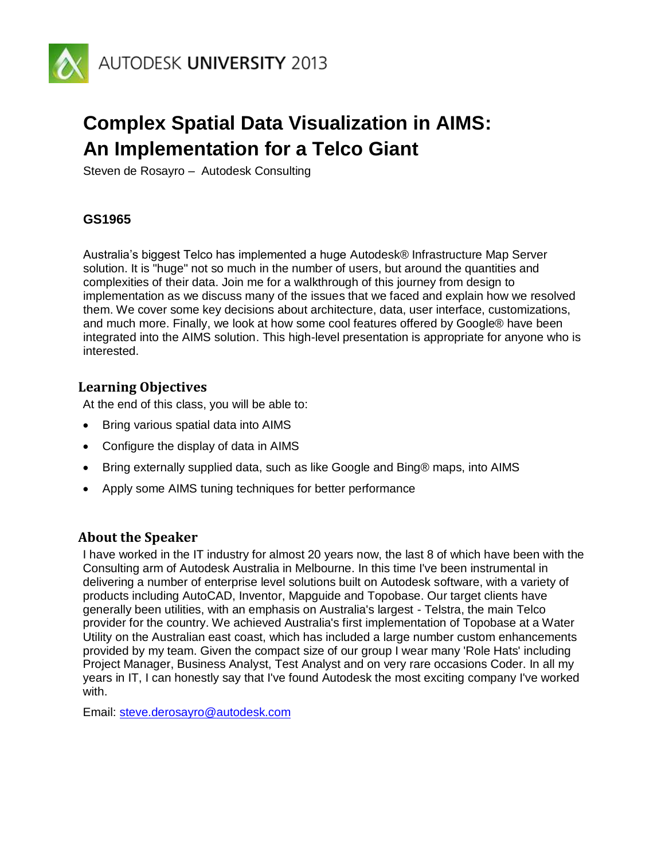

# **Complex Spatial Data Visualization in AIMS: An Implementation for a Telco Giant**

Steven de Rosayro – Autodesk Consulting

# **GS1965**

Australia"s biggest Telco has implemented a huge Autodesk® Infrastructure Map Server solution. It is "huge" not so much in the number of users, but around the quantities and complexities of their data. Join me for a walkthrough of this journey from design to implementation as we discuss many of the issues that we faced and explain how we resolved them. We cover some key decisions about architecture, data, user interface, customizations, and much more. Finally, we look at how some cool features offered by Google® have been integrated into the AIMS solution. This high-level presentation is appropriate for anyone who is interested.

## **Learning Objectives**

At the end of this class, you will be able to:

- Bring various spatial data into AIMS
- Configure the display of data in AIMS
- Bring externally supplied data, such as like Google and Bing® maps, into AIMS
- Apply some AIMS tuning techniques for better performance

## **About the Speaker**

I have worked in the IT industry for almost 20 years now, the last 8 of which have been with the Consulting arm of Autodesk Australia in Melbourne. In this time I've been instrumental in delivering a number of enterprise level solutions built on Autodesk software, with a variety of products including AutoCAD, Inventor, Mapguide and Topobase. Our target clients have generally been utilities, with an emphasis on Australia's largest - Telstra, the main Telco provider for the country. We achieved Australia's first implementation of Topobase at a Water Utility on the Australian east coast, which has included a large number custom enhancements provided by my team. Given the compact size of our group I wear many 'Role Hats' including Project Manager, Business Analyst, Test Analyst and on very rare occasions Coder. In all my years in IT, I can honestly say that I've found Autodesk the most exciting company I've worked with.

Email: [steve.derosayro@autodesk.com](mailto:steve.derosayro@autodesk.com)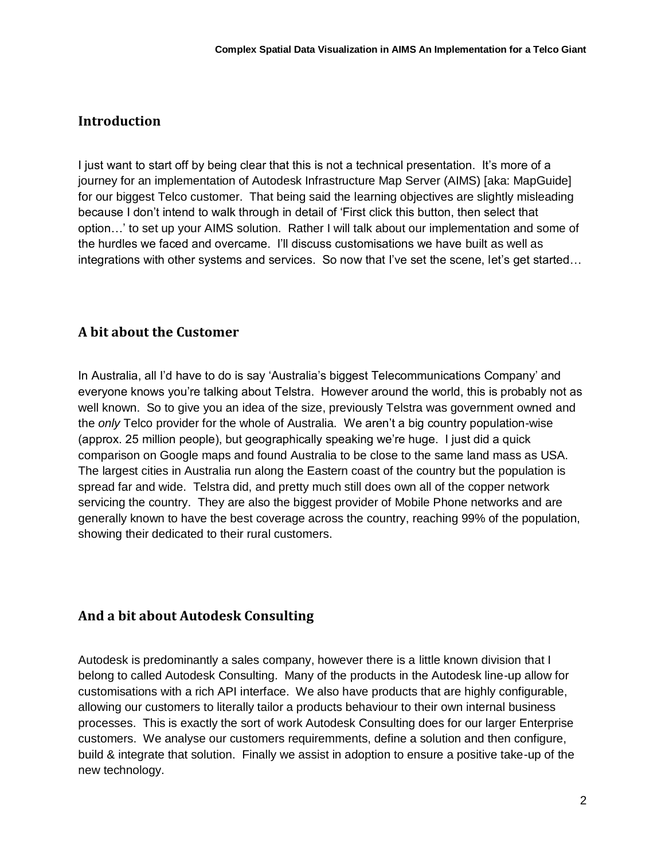## **Introduction**

I just want to start off by being clear that this is not a technical presentation. It's more of a journey for an implementation of Autodesk Infrastructure Map Server (AIMS) [aka: MapGuide] for our biggest Telco customer. That being said the learning objectives are slightly misleading because I don"t intend to walk through in detail of "First click this button, then select that option…" to set up your AIMS solution. Rather I will talk about our implementation and some of the hurdles we faced and overcame. I"ll discuss customisations we have built as well as integrations with other systems and services. So now that I"ve set the scene, let"s get started…

# **A bit about the Customer**

In Australia, all I"d have to do is say "Australia"s biggest Telecommunications Company" and everyone knows you"re talking about Telstra. However around the world, this is probably not as well known. So to give you an idea of the size, previously Telstra was government owned and the *only* Telco provider for the whole of Australia. We aren"t a big country population-wise (approx. 25 million people), but geographically speaking we"re huge. I just did a quick comparison on Google maps and found Australia to be close to the same land mass as USA. The largest cities in Australia run along the Eastern coast of the country but the population is spread far and wide. Telstra did, and pretty much still does own all of the copper network servicing the country. They are also the biggest provider of Mobile Phone networks and are generally known to have the best coverage across the country, reaching 99% of the population, showing their dedicated to their rural customers.

## **And a bit about Autodesk Consulting**

Autodesk is predominantly a sales company, however there is a little known division that I belong to called Autodesk Consulting. Many of the products in the Autodesk line-up allow for customisations with a rich API interface. We also have products that are highly configurable, allowing our customers to literally tailor a products behaviour to their own internal business processes. This is exactly the sort of work Autodesk Consulting does for our larger Enterprise customers. We analyse our customers requiremments, define a solution and then configure, build & integrate that solution. Finally we assist in adoption to ensure a positive take-up of the new technology.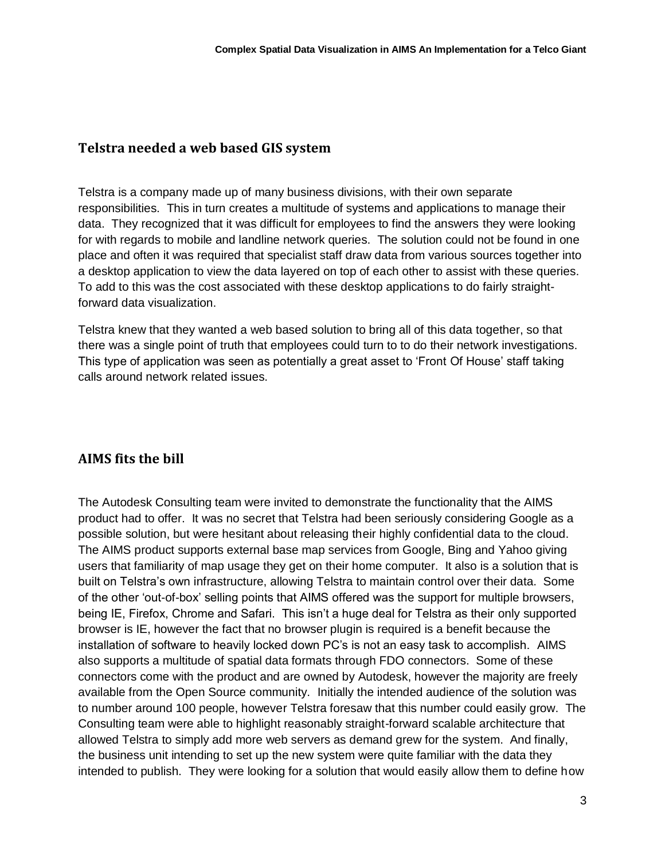# **Telstra needed a web based GIS system**

Telstra is a company made up of many business divisions, with their own separate responsibilities. This in turn creates a multitude of systems and applications to manage their data. They recognized that it was difficult for employees to find the answers they were looking for with regards to mobile and landline network queries. The solution could not be found in one place and often it was required that specialist staff draw data from various sources together into a desktop application to view the data layered on top of each other to assist with these queries. To add to this was the cost associated with these desktop applications to do fairly straightforward data visualization.

Telstra knew that they wanted a web based solution to bring all of this data together, so that there was a single point of truth that employees could turn to to do their network investigations. This type of application was seen as potentially a great asset to "Front Of House" staff taking calls around network related issues.

# **AIMS fits the bill**

The Autodesk Consulting team were invited to demonstrate the functionality that the AIMS product had to offer. It was no secret that Telstra had been seriously considering Google as a possible solution, but were hesitant about releasing their highly confidential data to the cloud. The AIMS product supports external base map services from Google, Bing and Yahoo giving users that familiarity of map usage they get on their home computer. It also is a solution that is built on Telstra"s own infrastructure, allowing Telstra to maintain control over their data. Some of the other "out-of-box" selling points that AIMS offered was the support for multiple browsers, being IE, Firefox, Chrome and Safari. This isn"t a huge deal for Telstra as their only supported browser is IE, however the fact that no browser plugin is required is a benefit because the installation of software to heavily locked down PC"s is not an easy task to accomplish. AIMS also supports a multitude of spatial data formats through FDO connectors. Some of these connectors come with the product and are owned by Autodesk, however the majority are freely available from the Open Source community. Initially the intended audience of the solution was to number around 100 people, however Telstra foresaw that this number could easily grow. The Consulting team were able to highlight reasonably straight-forward scalable architecture that allowed Telstra to simply add more web servers as demand grew for the system. And finally, the business unit intending to set up the new system were quite familiar with the data they intended to publish. They were looking for a solution that would easily allow them to define how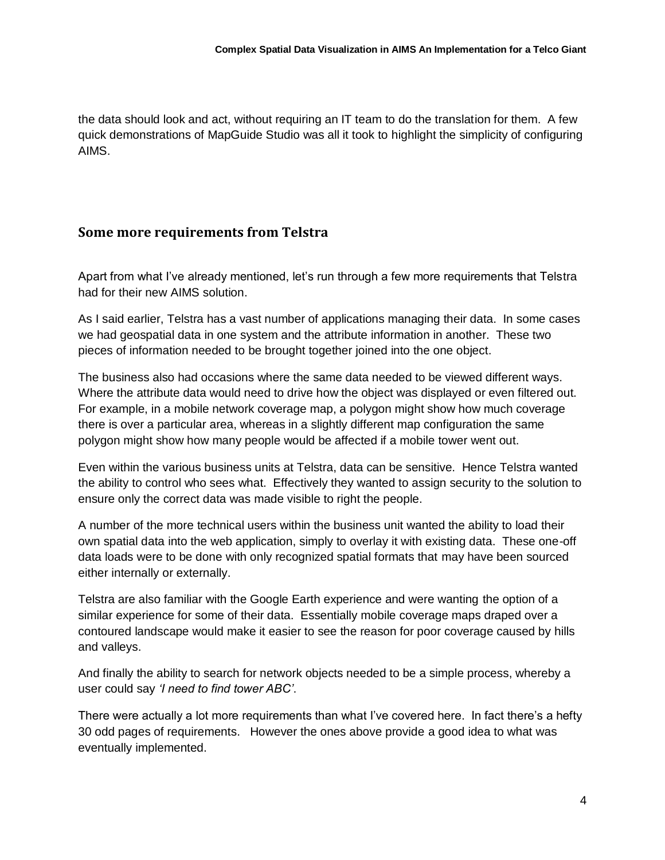the data should look and act, without requiring an IT team to do the translation for them. A few quick demonstrations of MapGuide Studio was all it took to highlight the simplicity of configuring AIMS.

#### **Some more requirements from Telstra**

Apart from what I've already mentioned, let's run through a few more requirements that Telstra had for their new AIMS solution.

As I said earlier, Telstra has a vast number of applications managing their data. In some cases we had geospatial data in one system and the attribute information in another. These two pieces of information needed to be brought together joined into the one object.

The business also had occasions where the same data needed to be viewed different ways. Where the attribute data would need to drive how the object was displayed or even filtered out. For example, in a mobile network coverage map, a polygon might show how much coverage there is over a particular area, whereas in a slightly different map configuration the same polygon might show how many people would be affected if a mobile tower went out.

Even within the various business units at Telstra, data can be sensitive. Hence Telstra wanted the ability to control who sees what. Effectively they wanted to assign security to the solution to ensure only the correct data was made visible to right the people.

A number of the more technical users within the business unit wanted the ability to load their own spatial data into the web application, simply to overlay it with existing data. These one-off data loads were to be done with only recognized spatial formats that may have been sourced either internally or externally.

Telstra are also familiar with the Google Earth experience and were wanting the option of a similar experience for some of their data. Essentially mobile coverage maps draped over a contoured landscape would make it easier to see the reason for poor coverage caused by hills and valleys.

And finally the ability to search for network objects needed to be a simple process, whereby a user could say *'I need to find tower ABC'*.

There were actually a lot more requirements than what I've covered here. In fact there's a hefty 30 odd pages of requirements. However the ones above provide a good idea to what was eventually implemented.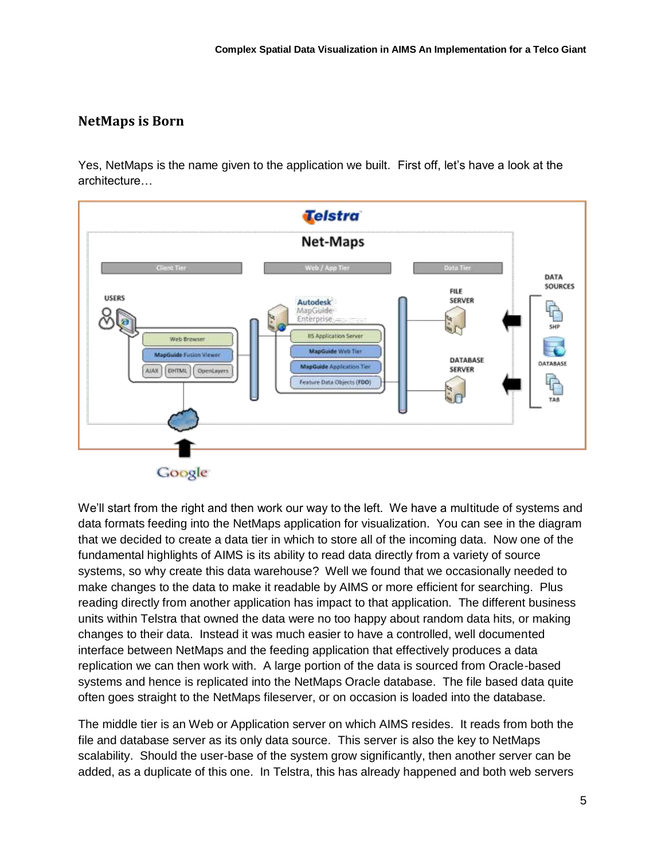## **NetMaps is Born**

Yes, NetMaps is the name given to the application we built. First off, let"s have a look at the architecture…



We"ll start from the right and then work our way to the left. We have a multitude of systems and data formats feeding into the NetMaps application for visualization. You can see in the diagram that we decided to create a data tier in which to store all of the incoming data. Now one of the fundamental highlights of AIMS is its ability to read data directly from a variety of source systems, so why create this data warehouse? Well we found that we occasionally needed to make changes to the data to make it readable by AIMS or more efficient for searching. Plus reading directly from another application has impact to that application. The different business units within Telstra that owned the data were no too happy about random data hits, or making changes to their data. Instead it was much easier to have a controlled, well documented interface between NetMaps and the feeding application that effectively produces a data replication we can then work with. A large portion of the data is sourced from Oracle-based systems and hence is replicated into the NetMaps Oracle database. The file based data quite often goes straight to the NetMaps fileserver, or on occasion is loaded into the database.

The middle tier is an Web or Application server on which AIMS resides. It reads from both the file and database server as its only data source. This server is also the key to NetMaps scalability. Should the user-base of the system grow significantly, then another server can be added, as a duplicate of this one. In Telstra, this has already happened and both web servers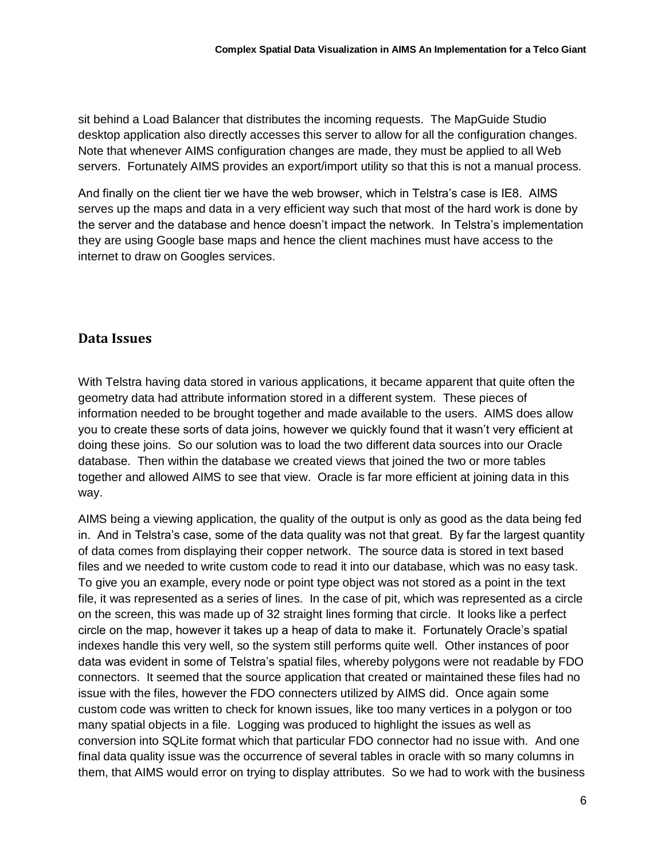sit behind a Load Balancer that distributes the incoming requests. The MapGuide Studio desktop application also directly accesses this server to allow for all the configuration changes. Note that whenever AIMS configuration changes are made, they must be applied to all Web servers. Fortunately AIMS provides an export/import utility so that this is not a manual process.

And finally on the client tier we have the web browser, which in Telstra's case is IE8. AIMS serves up the maps and data in a very efficient way such that most of the hard work is done by the server and the database and hence doesn"t impact the network. In Telstra"s implementation they are using Google base maps and hence the client machines must have access to the internet to draw on Googles services.

#### **Data Issues**

With Telstra having data stored in various applications, it became apparent that quite often the geometry data had attribute information stored in a different system. These pieces of information needed to be brought together and made available to the users. AIMS does allow you to create these sorts of data joins, however we quickly found that it wasn"t very efficient at doing these joins. So our solution was to load the two different data sources into our Oracle database. Then within the database we created views that joined the two or more tables together and allowed AIMS to see that view. Oracle is far more efficient at joining data in this way.

AIMS being a viewing application, the quality of the output is only as good as the data being fed in. And in Telstra"s case, some of the data quality was not that great. By far the largest quantity of data comes from displaying their copper network. The source data is stored in text based files and we needed to write custom code to read it into our database, which was no easy task. To give you an example, every node or point type object was not stored as a point in the text file, it was represented as a series of lines. In the case of pit, which was represented as a circle on the screen, this was made up of 32 straight lines forming that circle. It looks like a perfect circle on the map, however it takes up a heap of data to make it. Fortunately Oracle"s spatial indexes handle this very well, so the system still performs quite well. Other instances of poor data was evident in some of Telstra"s spatial files, whereby polygons were not readable by FDO connectors. It seemed that the source application that created or maintained these files had no issue with the files, however the FDO connecters utilized by AIMS did. Once again some custom code was written to check for known issues, like too many vertices in a polygon or too many spatial objects in a file. Logging was produced to highlight the issues as well as conversion into SQLite format which that particular FDO connector had no issue with. And one final data quality issue was the occurrence of several tables in oracle with so many columns in them, that AIMS would error on trying to display attributes. So we had to work with the business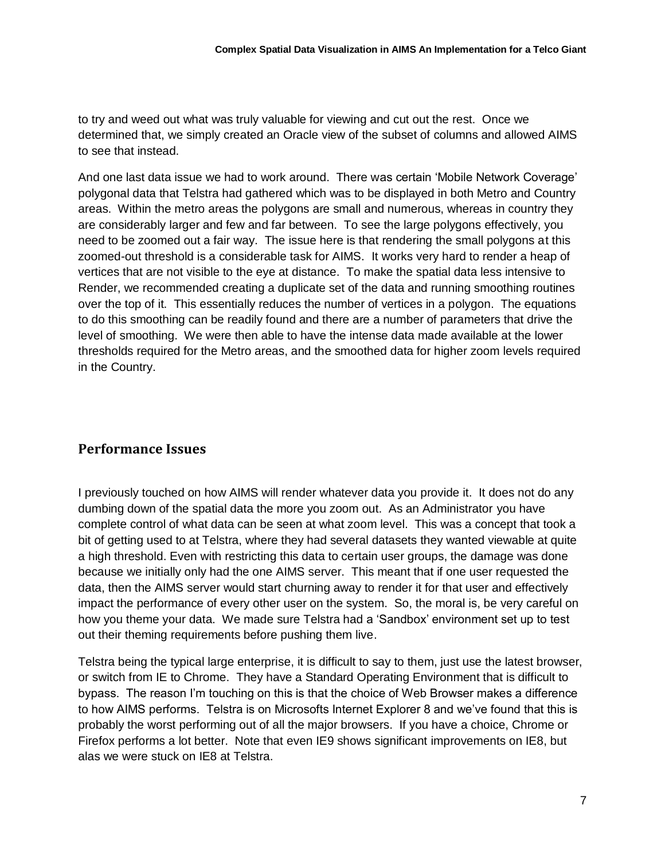to try and weed out what was truly valuable for viewing and cut out the rest. Once we determined that, we simply created an Oracle view of the subset of columns and allowed AIMS to see that instead.

And one last data issue we had to work around. There was certain "Mobile Network Coverage" polygonal data that Telstra had gathered which was to be displayed in both Metro and Country areas. Within the metro areas the polygons are small and numerous, whereas in country they are considerably larger and few and far between. To see the large polygons effectively, you need to be zoomed out a fair way. The issue here is that rendering the small polygons at this zoomed-out threshold is a considerable task for AIMS. It works very hard to render a heap of vertices that are not visible to the eye at distance. To make the spatial data less intensive to Render, we recommended creating a duplicate set of the data and running smoothing routines over the top of it. This essentially reduces the number of vertices in a polygon. The equations to do this smoothing can be readily found and there are a number of parameters that drive the level of smoothing. We were then able to have the intense data made available at the lower thresholds required for the Metro areas, and the smoothed data for higher zoom levels required in the Country.

#### **Performance Issues**

I previously touched on how AIMS will render whatever data you provide it. It does not do any dumbing down of the spatial data the more you zoom out. As an Administrator you have complete control of what data can be seen at what zoom level. This was a concept that took a bit of getting used to at Telstra, where they had several datasets they wanted viewable at quite a high threshold. Even with restricting this data to certain user groups, the damage was done because we initially only had the one AIMS server. This meant that if one user requested the data, then the AIMS server would start churning away to render it for that user and effectively impact the performance of every other user on the system. So, the moral is, be very careful on how you theme your data. We made sure Telstra had a "Sandbox" environment set up to test out their theming requirements before pushing them live.

Telstra being the typical large enterprise, it is difficult to say to them, just use the latest browser, or switch from IE to Chrome. They have a Standard Operating Environment that is difficult to bypass. The reason I"m touching on this is that the choice of Web Browser makes a difference to how AIMS performs. Telstra is on Microsofts Internet Explorer 8 and we"ve found that this is probably the worst performing out of all the major browsers. If you have a choice, Chrome or Firefox performs a lot better. Note that even IE9 shows significant improvements on IE8, but alas we were stuck on IE8 at Telstra.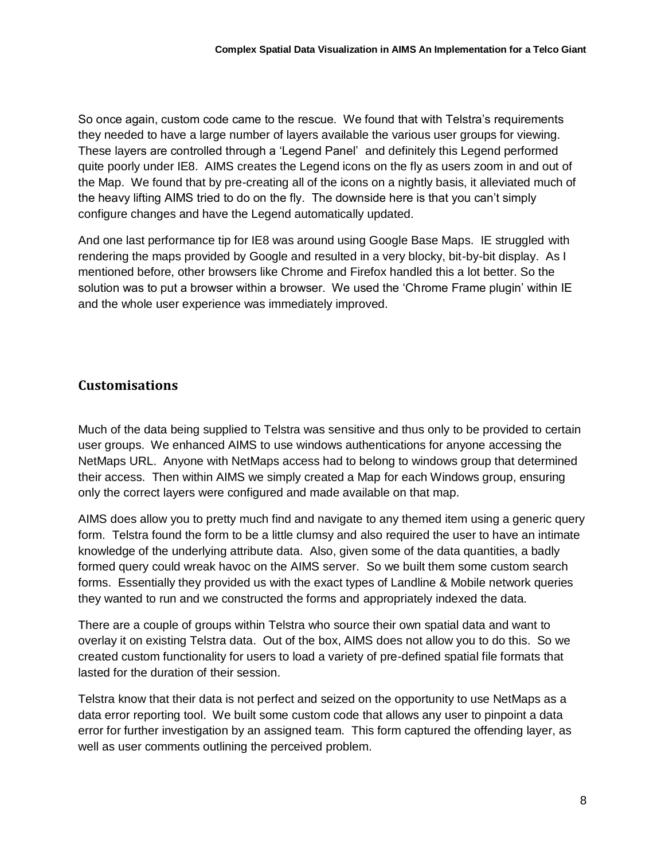So once again, custom code came to the rescue. We found that with Telstra's requirements they needed to have a large number of layers available the various user groups for viewing. These layers are controlled through a "Legend Panel" and definitely this Legend performed quite poorly under IE8. AIMS creates the Legend icons on the fly as users zoom in and out of the Map. We found that by pre-creating all of the icons on a nightly basis, it alleviated much of the heavy lifting AIMS tried to do on the fly. The downside here is that you can"t simply configure changes and have the Legend automatically updated.

And one last performance tip for IE8 was around using Google Base Maps. IE struggled with rendering the maps provided by Google and resulted in a very blocky, bit-by-bit display. As I mentioned before, other browsers like Chrome and Firefox handled this a lot better. So the solution was to put a browser within a browser. We used the "Chrome Frame plugin" within IE and the whole user experience was immediately improved.

## **Customisations**

Much of the data being supplied to Telstra was sensitive and thus only to be provided to certain user groups. We enhanced AIMS to use windows authentications for anyone accessing the NetMaps URL. Anyone with NetMaps access had to belong to windows group that determined their access. Then within AIMS we simply created a Map for each Windows group, ensuring only the correct layers were configured and made available on that map.

AIMS does allow you to pretty much find and navigate to any themed item using a generic query form. Telstra found the form to be a little clumsy and also required the user to have an intimate knowledge of the underlying attribute data. Also, given some of the data quantities, a badly formed query could wreak havoc on the AIMS server. So we built them some custom search forms. Essentially they provided us with the exact types of Landline & Mobile network queries they wanted to run and we constructed the forms and appropriately indexed the data.

There are a couple of groups within Telstra who source their own spatial data and want to overlay it on existing Telstra data. Out of the box, AIMS does not allow you to do this. So we created custom functionality for users to load a variety of pre-defined spatial file formats that lasted for the duration of their session.

Telstra know that their data is not perfect and seized on the opportunity to use NetMaps as a data error reporting tool. We built some custom code that allows any user to pinpoint a data error for further investigation by an assigned team. This form captured the offending layer, as well as user comments outlining the perceived problem.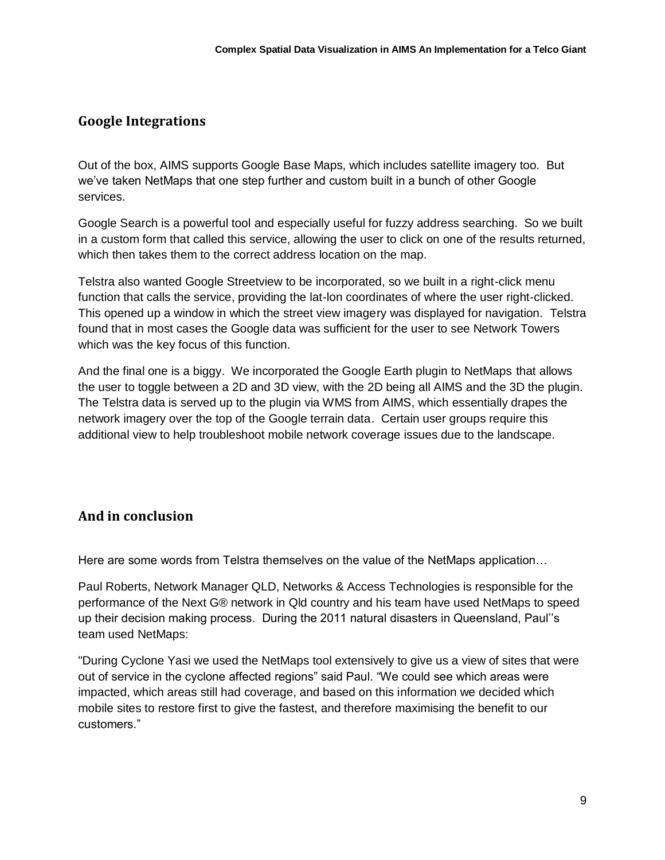## **Google Integrations**

Out of the box, AIMS supports Google Base Maps, which includes satellite imagery too. But we"ve taken NetMaps that one step further and custom built in a bunch of other Google services.

Google Search is a powerful tool and especially useful for fuzzy address searching. So we built in a custom form that called this service, allowing the user to click on one of the results returned, which then takes them to the correct address location on the map.

Telstra also wanted Google Streetview to be incorporated, so we built in a right-click menu function that calls the service, providing the lat-lon coordinates of where the user right-clicked. This opened up a window in which the street view imagery was displayed for navigation. Telstra found that in most cases the Google data was sufficient for the user to see Network Towers which was the key focus of this function.

And the final one is a biggy. We incorporated the Google Earth plugin to NetMaps that allows the user to toggle between a 2D and 3D view, with the 2D being all AIMS and the 3D the plugin. The Telstra data is served up to the plugin via WMS from AIMS, which essentially drapes the network imagery over the top of the Google terrain data. Certain user groups require this additional view to help troubleshoot mobile network coverage issues due to the landscape.

## **And in conclusion**

Here are some words from Telstra themselves on the value of the NetMaps application…

Paul Roberts, Network Manager QLD, Networks & Access Technologies is responsible for the performance of the Next G® network in Qld country and his team have used NetMaps to speed up their decision making process. During the 2011 natural disasters in Queensland, Paul""s team used NetMaps:

"During Cyclone Yasi we used the NetMaps tool extensively to give us a view of sites that were out of service in the cyclone affected regions" said Paul. "We could see which areas were impacted, which areas still had coverage, and based on this information we decided which mobile sites to restore first to give the fastest, and therefore maximising the benefit to our customers."